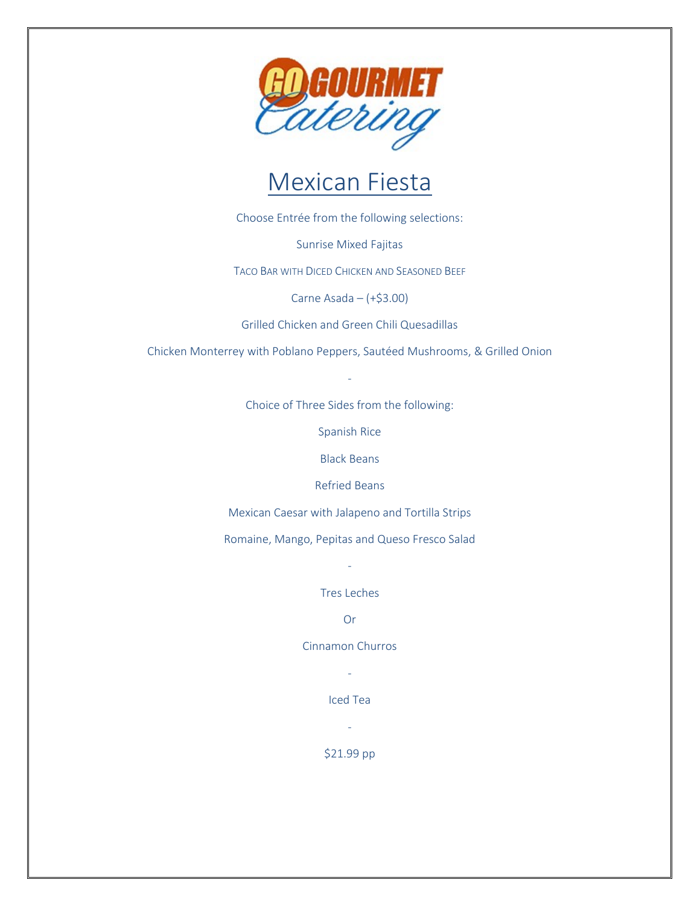

#### Mexican Fiesta

Choose Entrée from the following selections:

Sunrise Mixed Fajitas

TACO BAR WITH DICED CHICKEN AND SEASONED BEEF

Carne Asada – (+\$3.00)

Grilled Chicken and Green Chili Quesadillas

Chicken Monterrey with Poblano Peppers, Sautéed Mushrooms, & Grilled Onion

-

Choice of Three Sides from the following:

Spanish Rice

Black Beans

Refried Beans

Mexican Caesar with Jalapeno and Tortilla Strips

Romaine, Mango, Pepitas and Queso Fresco Salad

-

Tres Leches

Or

Cinnamon Churros

-

Iced Tea

-

\$21.99 pp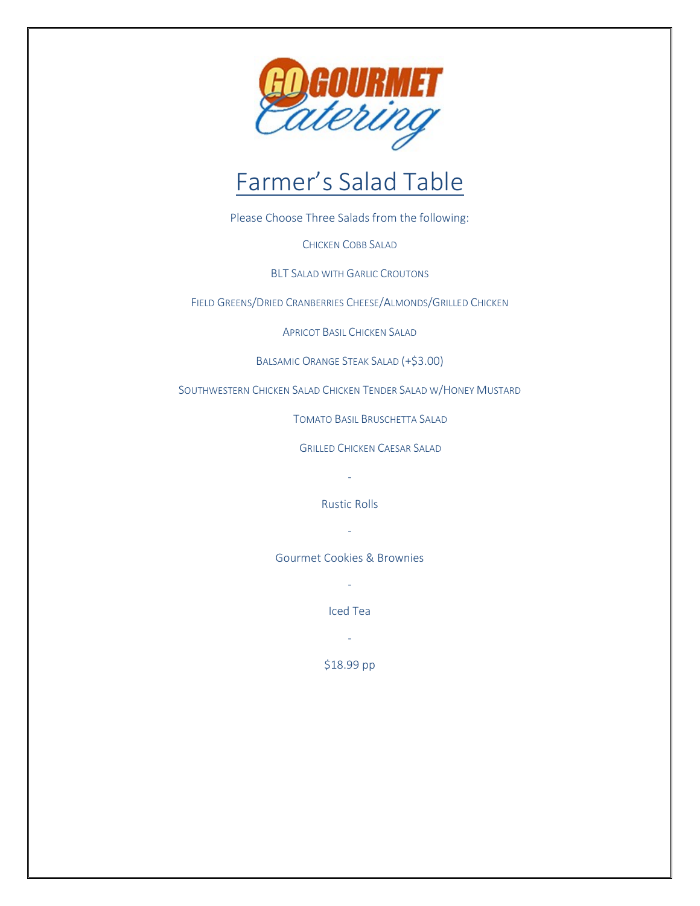

# Farmer's Salad Table

Please Choose Three Salads from the following:

CHICKEN COBB SALAD

BLT SALAD WITH GARLIC CROUTONS

FIELD GREENS/DRIED CRANBERRIES CHEESE/ALMONDS/GRILLED CHICKEN

APRICOT BASIL CHICKEN SALAD

BALSAMIC ORANGE STEAK SALAD (+\$3.00)

SOUTHWESTERN CHICKEN SALAD CHICKEN TENDER SALAD W/HONEY MUSTARD

TOMATO BASIL BRUSCHETTA SALAD

GRILLED CHICKEN CAESAR SALAD

-

Rustic Rolls

-

Gourmet Cookies & Brownies

-

Iced Tea

-

\$18.99 pp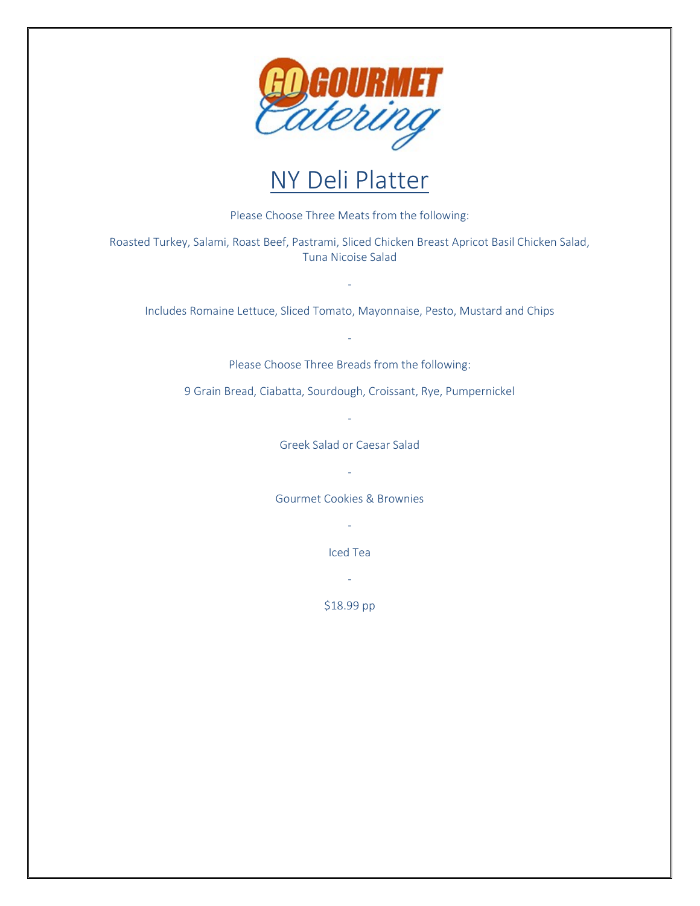

### NY Deli Platter

Please Choose Three Meats from the following:

Roasted Turkey, Salami, Roast Beef, Pastrami, Sliced Chicken Breast Apricot Basil Chicken Salad, Tuna Nicoise Salad

Includes Romaine Lettuce, Sliced Tomato, Mayonnaise, Pesto, Mustard and Chips

-

Please Choose Three Breads from the following:

-

9 Grain Bread, Ciabatta, Sourdough, Croissant, Rye, Pumpernickel

-

Greek Salad or Caesar Salad

- Gourmet Cookies & Brownies

-

Iced Tea

-

\$18.99 pp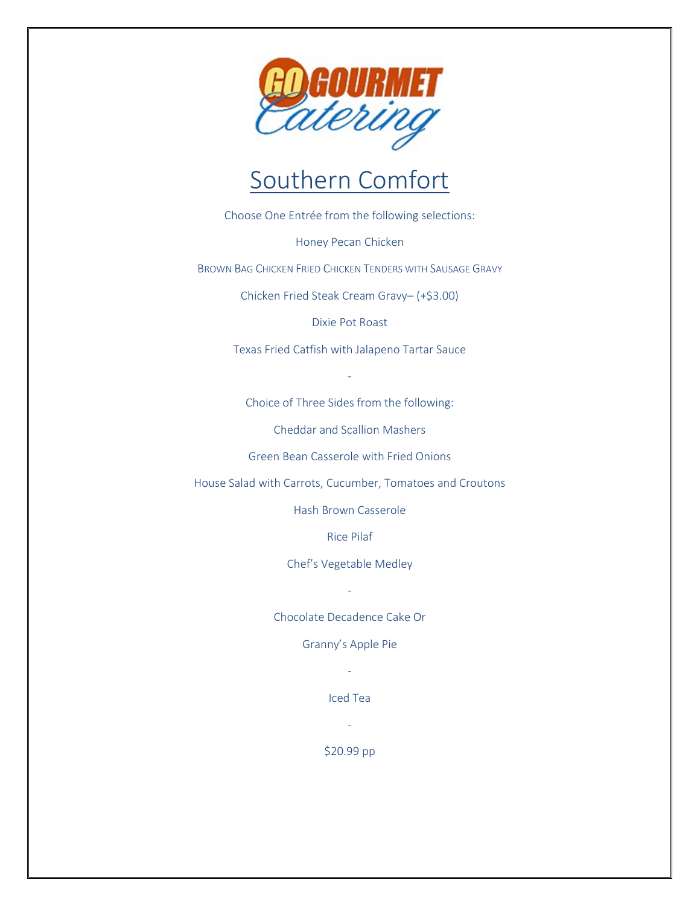

#### Southern Comfort

Choose One Entrée from the following selections:

Honey Pecan Chicken

BROWN BAG CHICKEN FRIED CHICKEN TENDERS WITH SAUSAGE GRAVY

Chicken Fried Steak Cream Gravy– (+\$3.00)

Dixie Pot Roast

Texas Fried Catfish with Jalapeno Tartar Sauce

Choice of Three Sides from the following:

-

Cheddar and Scallion Mashers

Green Bean Casserole with Fried Onions

House Salad with Carrots, Cucumber, Tomatoes and Croutons

Hash Brown Casserole

Rice Pilaf

Chef's Vegetable Medley

-

Chocolate Decadence Cake Or

Granny's Apple Pie

- Iced Tea

-

\$20.99 pp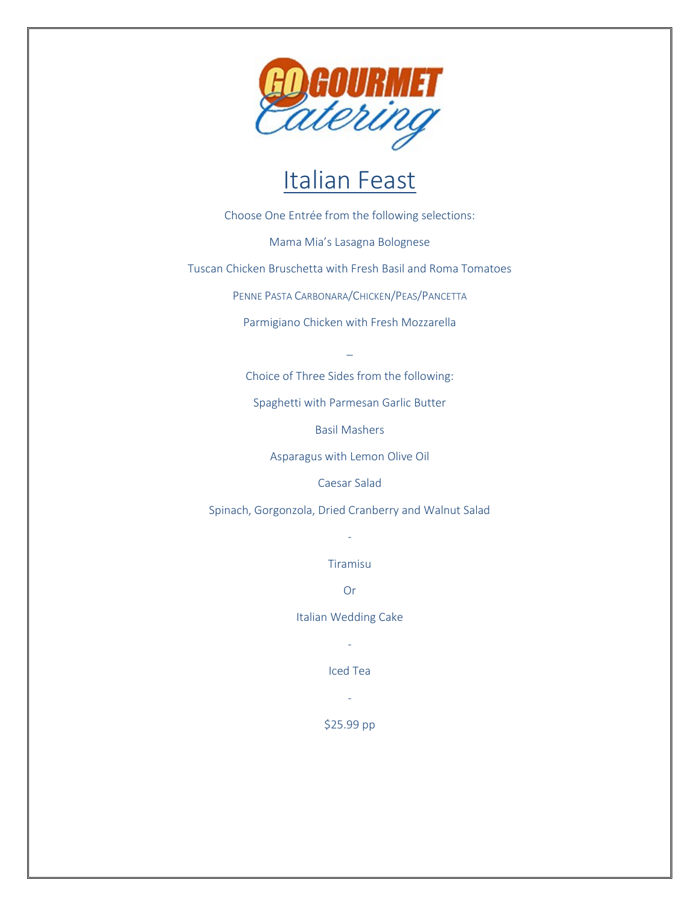

## Italian Feast

Choose One Entrée from the following selections:

Mama Mia's Lasagna Bolognese

Tuscan Chicken Bruschetta with Fresh Basil and Roma Tomatoes

PENNE PASTA CARBONARA/CHICKEN/PEAS/PANCETTA

Parmigiano Chicken with Fresh Mozzarella

\_

Choice of Three Sides from the following:

Spaghetti with Parmesan Garlic Butter

Basil Mashers

Asparagus with Lemon Olive Oil

Caesar Salad

Spinach, Gorgonzola, Dried Cranberry and Walnut Salad

Tiramisu

-

Or

Italian Wedding Cake

-

Iced Tea

-

\$25.99 pp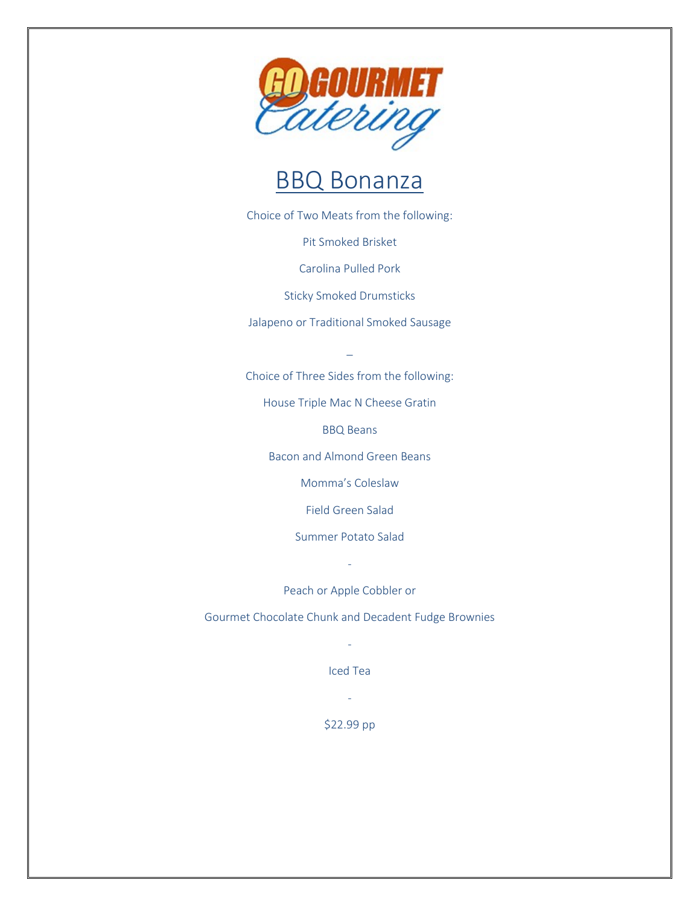

#### BBQ Bonanza

Choice of Two Meats from the following:

Pit Smoked Brisket

Carolina Pulled Pork

Sticky Smoked Drumsticks

Jalapeno or Traditional Smoked Sausage

\_

Choice of Three Sides from the following:

House Triple Mac N Cheese Gratin

BBQ Beans

Bacon and Almond Green Beans

Momma's Coleslaw

Field Green Salad

Summer Potato Salad

Peach or Apple Cobbler or

-

Gourmet Chocolate Chunk and Decadent Fudge Brownies

- Iced Tea

-

\$22.99 pp